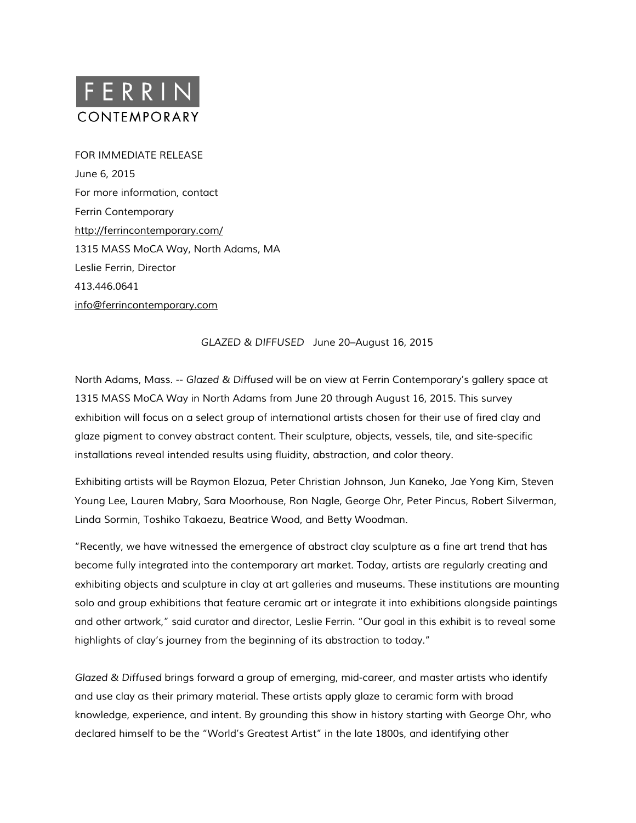

FOR IMMEDIATE RELEASE June 6, 2015 For more information, contact Ferrin Contemporary <http://ferrincontemporary.com/> 1315 MASS MoCA Way, North Adams, MA Leslie Ferrin, Director 413.446.0641 [info@ferrincontemporary.com](mailto:info@ferrincontemporary.com)

*GLAZED & DIFFUSED* June 20–August 16, 2015

North Adams, Mass. -- *Glazed & Diffused* will be on view at Ferrin Contemporary's gallery space at 1315 MASS MoCA Way in North Adams from June 20 through August 16, 2015. This survey exhibition will focus on a select group of international artists chosen for their use of fired clay and glaze pigment to convey abstract content. Their sculpture, objects, vessels, tile, and site-specific installations reveal intended results using fluidity, abstraction, and color theory.

Exhibiting artists will be Raymon Elozua, Peter Christian Johnson, Jun Kaneko, Jae Yong Kim, Steven Young Lee, Lauren Mabry, Sara Moorhouse, Ron Nagle, George Ohr, Peter Pincus, Robert Silverman, Linda Sormin, Toshiko Takaezu, Beatrice Wood, and Betty Woodman.

"Recently, we have witnessed the emergence of abstract clay sculpture as a fine art trend that has become fully integrated into the contemporary art market. Today, artists are regularly creating and exhibiting objects and sculpture in clay at art galleries and museums. These institutions are mounting solo and group exhibitions that feature ceramic art or integrate it into exhibitions alongside paintings and other artwork," said curator and director, Leslie Ferrin. "Our goal in this exhibit is to reveal some highlights of clay's journey from the beginning of its abstraction to today."

*Glazed & Diffused* brings forward a group of emerging, mid-career, and master artists who identify and use clay as their primary material. These artists apply glaze to ceramic form with broad knowledge, experience, and intent. By grounding this show in history starting with George Ohr, who declared himself to be the "World's Greatest Artist" in the late 1800s, and identifying other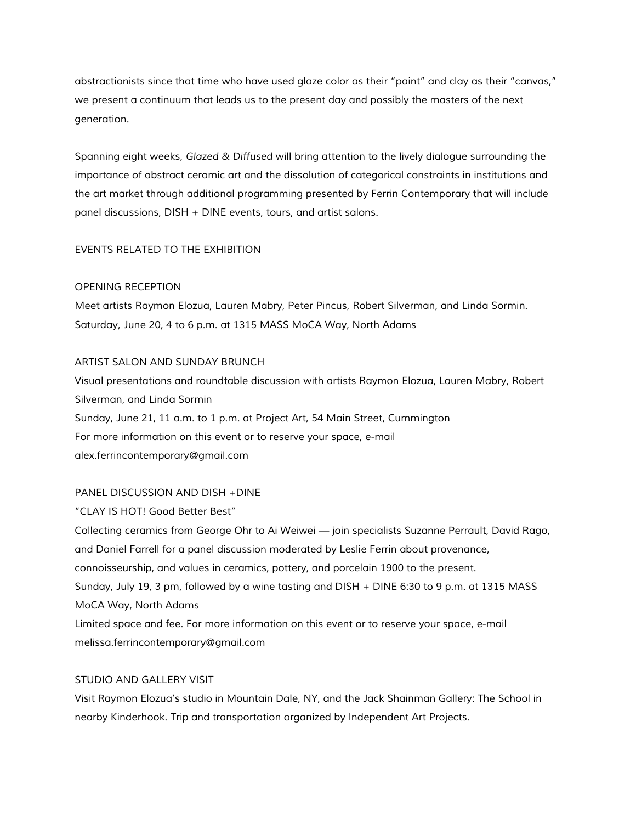abstractionists since that time who have used glaze color as their "paint" and clay as their "canvas," we present a continuum that leads us to the present day and possibly the masters of the next generation.

Spanning eight weeks, *Glazed & Diffused* will bring attention to the lively dialogue surrounding the importance of abstract ceramic art and the dissolution of categorical constraints in institutions and the art market through additional programming presented by Ferrin Contemporary that will include panel discussions, DISH + DINE events, tours, and artist salons.

# EVENTS RELATED TO THE EXHIBITION

## OPENING RECEPTION

Meet artists Raymon Elozua, Lauren Mabry, Peter Pincus, Robert Silverman, and Linda Sormin. Saturday, June 20, 4 to 6 p.m. at 1315 MASS MoCA Way, North Adams

### ARTIST SALON AND SUNDAY BRUNCH

Visual presentations and roundtable discussion with artists Raymon Elozua, Lauren Mabry, Robert Silverman, and Linda Sormin Sunday, June 21, 11 a.m. to 1 p.m. at Project Art, 54 Main Street, Cummington For more information on this event or to reserve your space, e-mail alex.ferrincontemporary@gmail.com

## PANEL DISCUSSION AND DISH +DINE

#### "CLAY IS HOT! Good Better Best"

Collecting ceramics from George Ohr to Ai Weiwei — join specialists Suzanne Perrault, David Rago, and Daniel Farrell for a panel discussion moderated by Leslie Ferrin about provenance, connoisseurship, and values in ceramics, pottery, and porcelain 1900 to the present. Sunday, July 19, 3 pm, followed by a wine tasting and DISH + DINE 6:30 to 9 p.m. at 1315 MASS MoCA Way, North Adams Limited space and fee. For more information on this event or to reserve your space, e-mail melissa.ferrincontemporary@gmail.com

## STUDIO AND GALLERY VISIT

Visit Raymon Elozua's studio in Mountain Dale, NY, and the Jack Shainman Gallery: The School in nearby Kinderhook. Trip and transportation organized by Independent Art Projects.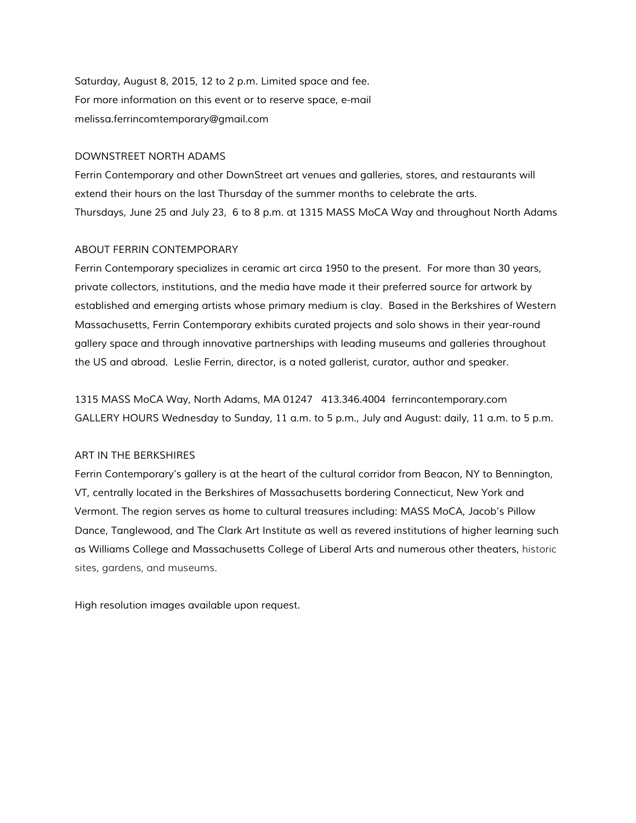Saturday, August 8, 2015, 12 to 2 p.m. Limited space and fee. For more information on this event or to reserve space, e-mail melissa.ferrincomtemporary@gmail.com

#### DOWNSTREET NORTH ADAMS

Ferrin Contemporary and other DownStreet art venues and galleries, stores, and restaurants will extend their hours on the last Thursday of the summer months to celebrate the arts. Thursdays, June 25 and July 23, 6 to 8 p.m. at 1315 MASS MoCA Way and throughout North Adams

### ABOUT FERRIN CONTEMPORARY

Ferrin Contemporary specializes in ceramic art circa 1950 to the present. For more than 30 years, private collectors, institutions, and the media have made it their preferred source for artwork by established and emerging artists whose primary medium is clay. Based in the Berkshires of Western Massachusetts, Ferrin Contemporary exhibits curated projects and solo shows in their year-round gallery space and through innovative partnerships with leading museums and galleries throughout the US and abroad. Leslie Ferrin, director, is a noted gallerist, curator, author and speaker.

1315 MASS MoCA Way, North Adams, MA 01247 413.346.4004 ferrincontemporary.com GALLERY HOURS Wednesday to Sunday, 11 a.m. to 5 p.m., July and August: daily, 11 a.m. to 5 p.m.

## ART IN THE BERKSHIRES

Ferrin Contemporary's gallery is at the heart of the cultural corridor from Beacon, NY to Bennington, VT, centrally located in the Berkshires of Massachusetts bordering Connecticut, New York and Vermont. The region serves as home to cultural treasures including: MASS MoCA, Jacob's Pillow Dance, Tanglewood, and The Clark Art Institute as well as revered institutions of higher learning such as Williams College and Massachusetts College of Liberal Arts and numerous other theaters, historic sites, gardens, and museums.

High resolution images available upon request.